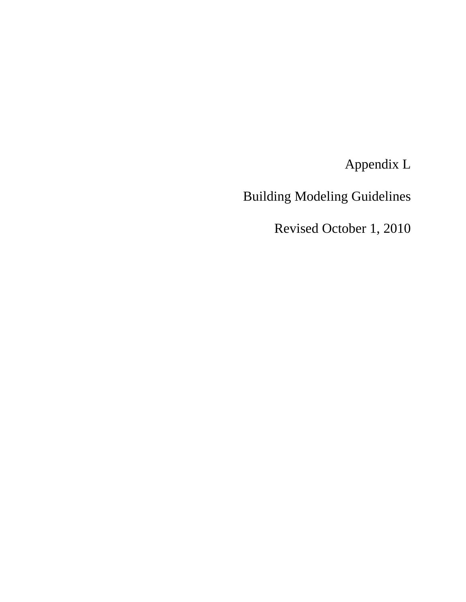Appendix L

Building Modeling Guidelines

Revised October 1, 2010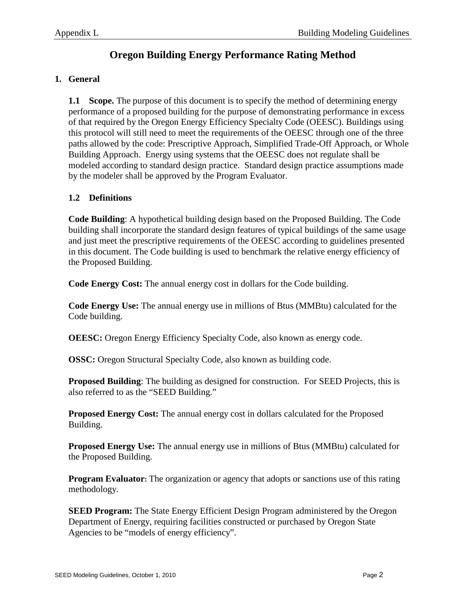# **Oregon Building Energy Performance Rating Method**

# **1. General**

**1.1 Scope.** The purpose of this document is to specify the method of determining energy performance of a proposed building for the purpose of demonstrating performance in excess of that required by the Oregon Energy Efficiency Specialty Code (OEESC). Buildings using this protocol will still need to meet the requirements of the OEESC through one of the three paths allowed by the code: Prescriptive Approach, Simplified Trade-Off Approach, or Whole Building Approach. Energy using systems that the OEESC does not regulate shall be modeled according to standard design practice. Standard design practice assumptions made by the modeler shall be approved by the Program Evaluator.

# **1.2 Definitions**

**Code Building**: A hypothetical building design based on the Proposed Building. The Code building shall incorporate the standard design features of typical buildings of the same usage and just meet the prescriptive requirements of the OEESC according to guidelines presented in this document. The Code building is used to benchmark the relative energy efficiency of the Proposed Building.

**Code Energy Cost:** The annual energy cost in dollars for the Code building.

**Code Energy Use:** The annual energy use in millions of Btus (MMBtu) calculated for the Code building.

**OEESC:** Oregon Energy Efficiency Specialty Code, also known as energy code.

**OSSC:** Oregon Structural Specialty Code, also known as building code.

**Proposed Building**: The building as designed for construction. For SEED Projects, this is also referred to as the "SEED Building."

**Proposed Energy Cost:** The annual energy cost in dollars calculated for the Proposed Building.

**Proposed Energy Use:** The annual energy use in millions of Btus (MMBtu) calculated for the Proposed Building.

**Program Evaluator:** The organization or agency that adopts or sanctions use of this rating methodology.

**SEED Program:** The State Energy Efficient Design Program administered by the Oregon Department of Energy, requiring facilities constructed or purchased by Oregon State Agencies to be "models of energy efficiency".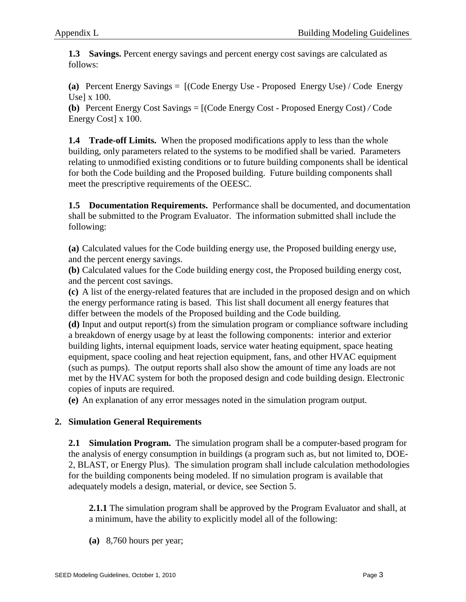**1.3 Savings.** Percent energy savings and percent energy cost savings are calculated as follows:

**(a)** Percent Energy Savings = [(Code Energy Use - Proposed Energy Use) / Code Energy Use] x 100.

**(b)** Percent Energy Cost Savings = [(Code Energy Cost - Proposed Energy Cost) */* Code Energy Cost] x 100.

**1.4 Trade-off Limits.** When the proposed modifications apply to less than the whole building, only parameters related to the systems to be modified shall be varied. Parameters relating to unmodified existing conditions or to future building components shall be identical for both the Code building and the Proposed building. Future building components shall meet the prescriptive requirements of the OEESC.

**1.5 Documentation Requirements.** Performance shall be documented, and documentation shall be submitted to the Program Evaluator. The information submitted shall include the following:

**(a)** Calculated values for the Code building energy use, the Proposed building energy use, and the percent energy savings.

**(b)** Calculated values for the Code building energy cost, the Proposed building energy cost, and the percent cost savings.

**(c)** A list of the energy-related features that are included in the proposed design and on which the energy performance rating is based. This list shall document all energy features that differ between the models of the Proposed building and the Code building.

**(d)** Input and output report(s) from the simulation program or compliance software including a breakdown of energy usage by at least the following components: interior and exterior building lights, internal equipment loads, service water heating equipment, space heating equipment, space cooling and heat rejection equipment, fans, and other HVAC equipment (such as pumps). The output reports shall also show the amount of time any loads are not met by the HVAC system for both the proposed design and code building design. Electronic copies of inputs are required.

**(e)** An explanation of any error messages noted in the simulation program output.

# **2. Simulation General Requirements**

**2.1 Simulation Program.** The simulation program shall be a computer-based program for the analysis of energy consumption in buildings (a program such as, but not limited to, DOE-2, BLAST, or Energy Plus). The simulation program shall include calculation methodologies for the building components being modeled. If no simulation program is available that adequately models a design, material, or device, see Section 5.

**2.1.1** The simulation program shall be approved by the Program Evaluator and shall, at a minimum, have the ability to explicitly model all of the following:

**(a)** 8,760 hours per year;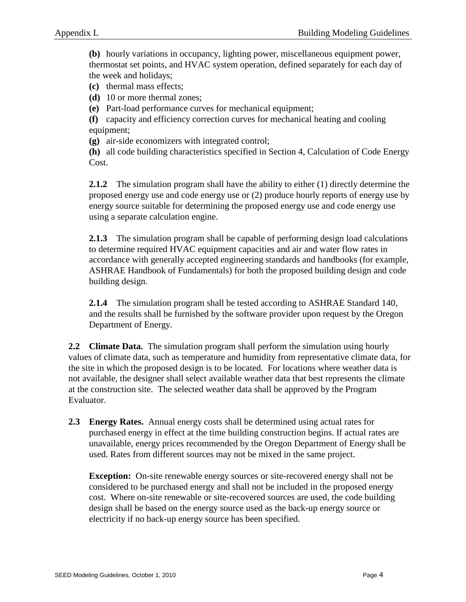**(b)** hourly variations in occupancy, lighting power, miscellaneous equipment power, thermostat set points, and HVAC system operation, defined separately for each day of the week and holidays;

**(c)** thermal mass effects;

**(d)** 10 or more thermal zones;

**(e)** Part-load performance curves for mechanical equipment;

**(f)** capacity and efficiency correction curves for mechanical heating and cooling equipment;

**(g)** air-side economizers with integrated control;

**(h)** all code building characteristics specified in Section 4, Calculation of Code Energy Cost.

**2.1.2** The simulation program shall have the ability to either (1) directly determine the proposed energy use and code energy use or (2) produce hourly reports of energy use by energy source suitable for determining the proposed energy use and code energy use using a separate calculation engine.

2.1.3 The simulation program shall be capable of performing design load calculations to determine required HVAC equipment capacities and air and water flow rates in accordance with generally accepted engineering standards and handbooks (for example, ASHRAE Handbook of Fundamentals) for both the proposed building design and code building design.

**2.1.4** The simulation program shall be tested according to ASHRAE Standard 140, and the results shall be furnished by the software provider upon request by the Oregon Department of Energy.

**2.2 Climate Data.** The simulation program shall perform the simulation using hourly values of climate data, such as temperature and humidity from representative climate data, for the site in which the proposed design is to be located. For locations where weather data is not available, the designer shall select available weather data that best represents the climate at the construction site. The selected weather data shall be approved by the Program Evaluator.

**2.3 Energy Rates.** Annual energy costs shall be determined using actual rates for purchased energy in effect at the time building construction begins. If actual rates are unavailable, energy prices recommended by the Oregon Department of Energy shall be used. Rates from different sources may not be mixed in the same project.

**Exception:** On-site renewable energy sources or site-recovered energy shall not be considered to be purchased energy and shall not be included in the proposed energy cost. Where on-site renewable or site-recovered sources are used, the code building design shall be based on the energy source used as the back-up energy source or electricity if no back-up energy source has been specified.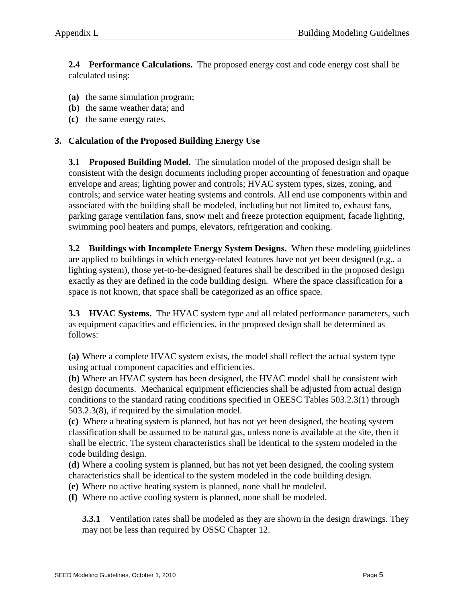**2.4 Performance Calculations.** The proposed energy cost and code energy cost shall be calculated using:

- **(a)** the same simulation program;
- **(b)** the same weather data; and
- **(c)** the same energy rates*.*

# **3. Calculation of the Proposed Building Energy Use**

**3.1 Proposed Building Model.** The simulation model of the proposed design shall be consistent with the design documents including proper accounting of fenestration and opaque envelope and areas; lighting power and controls; HVAC system types, sizes, zoning, and controls; and service water heating systems and controls. All end use components within and associated with the building shall be modeled, including but not limited to, exhaust fans, parking garage ventilation fans, snow melt and freeze protection equipment, facade lighting, swimming pool heaters and pumps, elevators, refrigeration and cooking.

**3.2 Buildings with Incomplete Energy System Designs.** When these modeling guidelines are applied to buildings in which energy-related features have not yet been designed (e.g., a lighting system), those yet-to-be-designed features shall be described in the proposed design exactly as they are defined in the code building design*.* Where the space classification for a space is not known, that space shall be categorized as an office space.

**3.3 HVAC Systems.** The HVAC system type and all related performance parameters, such as equipment capacities and efficiencies, in the proposed design shall be determined as follows:

**(a)** Where a complete HVAC system exists, the model shall reflect the actual system type using actual component capacities and efficiencies.

**(b)** Where an HVAC system has been designed, the HVAC model shall be consistent with design documents. Mechanical equipment efficiencies shall be adjusted from actual design conditions to the standard rating conditions specified in OEESC Tables 503.2.3(1) through 503.2.3(8), if required by the simulation model.

**(c)** Where a heating system is planned, but has not yet been designed, the heating system classification shall be assumed to be natural gas, unless none is available at the site, then it shall be electric. The system characteristics shall be identical to the system modeled in the code building design*.*

**(d)** Where a cooling system is planned, but has not yet been designed, the cooling system characteristics shall be identical to the system modeled in the code building design.

**(e)** Where no active heating system is planned, none shall be modeled.

**(f)** Where no active cooling system is planned, none shall be modeled.

**3.3.1** Ventilation rates shall be modeled as they are shown in the design drawings. They may not be less than required by OSSC Chapter 12.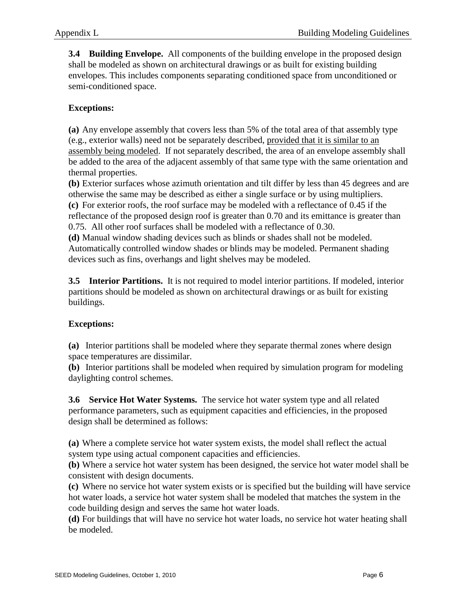**3.4 Building Envelope.** All components of the building envelope in the proposed design shall be modeled as shown on architectural drawings or as built for existing building envelopes. This includes components separating conditioned space from unconditioned or semi-conditioned space.

# **Exceptions:**

**(a)** Any envelope assembly that covers less than 5% of the total area of that assembly type (e.g., exterior walls) need not be separately described, provided that it is similar to an assembly being modeled. If not separately described, the area of an envelope assembly shall be added to the area of the adjacent assembly of that same type with the same orientation and thermal properties.

**(b)** Exterior surfaces whose azimuth orientation and tilt differ by less than 45 degrees and are otherwise the same may be described as either a single surface or by using multipliers. **(c)** For exterior roofs, the roof surface may be modeled with a reflectance of 0.45 if the reflectance of the proposed design roof is greater than 0.70 and its emittance is greater than 0.75. All other roof surfaces shall be modeled with a reflectance of 0.30.

**(d)** Manual window shading devices such as blinds or shades shall not be modeled. Automatically controlled window shades or blinds may be modeled. Permanent shading devices such as fins, overhangs and light shelves may be modeled.

**3.5 Interior Partitions.** It is not required to model interior partitions. If modeled, interior partitions should be modeled as shown on architectural drawings or as built for existing buildings.

# **Exceptions:**

**(a)** Interior partitions shall be modeled where they separate thermal zones where design space temperatures are dissimilar.

**(b)** Interior partitions shall be modeled when required by simulation program for modeling daylighting control schemes.

**3.6 Service Hot Water Systems.** The service hot water system type and all related performance parameters, such as equipment capacities and efficiencies, in the proposed design shall be determined as follows:

**(a)** Where a complete service hot water system exists, the model shall reflect the actual system type using actual component capacities and efficiencies.

**(b)** Where a service hot water system has been designed, the service hot water model shall be consistent with design documents.

**(c)** Where no service hot water system exists or is specified but the building will have service hot water loads, a service hot water system shall be modeled that matches the system in the code building design and serves the same hot water loads.

**(d)** For buildings that will have no service hot water loads, no service hot water heating shall be modeled.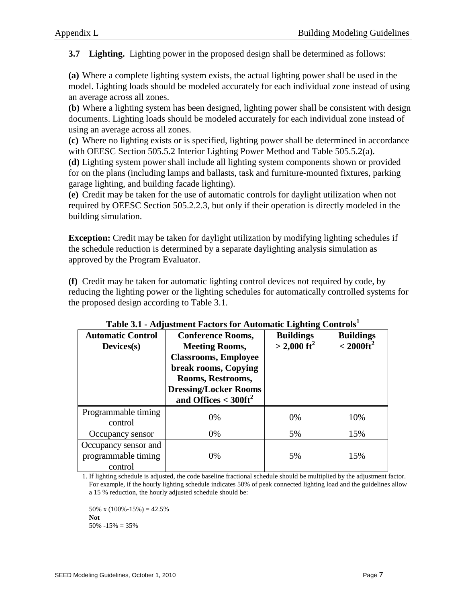**3.7 Lighting.** Lighting power in the proposed design shall be determined as follows:

**(a)** Where a complete lighting system exists, the actual lighting power shall be used in the model. Lighting loads should be modeled accurately for each individual zone instead of using an average across all zones.

**(b)** Where a lighting system has been designed, lighting power shall be consistent with design documents. Lighting loads should be modeled accurately for each individual zone instead of using an average across all zones.

**(c)** Where no lighting exists or is specified, lighting power shall be determined in accordance with OEESC Section 505.5.2 Interior Lighting Power Method and Table 505.5.2(a).

**(d)** Lighting system power shall include all lighting system components shown or provided for on the plans (including lamps and ballasts, task and furniture-mounted fixtures, parking garage lighting, and building facade lighting).

**(e)** Credit may be taken for the use of automatic controls for daylight utilization when not required by OEESC Section 505.2.2.3, but only if their operation is directly modeled in the building simulation.

**Exception:** Credit may be taken for daylight utilization by modifying lighting schedules if the schedule reduction is determined by a separate daylighting analysis simulation as approved by the Program Evaluator.

**(f)** Credit may be taken for automatic lighting control devices not required by code, by reducing the lighting power or the lighting schedules for automatically controlled systems for the proposed design according to Table 3.1.

| <b>Automatic Control</b><br>$Devices(s)$               | <b>Conference Rooms,</b><br><b>Meeting Rooms,</b><br><b>Classrooms, Employee</b><br>break rooms, Copying<br>Rooms, Restrooms,<br><b>Dressing/Locker Rooms</b><br>and Offices $<$ 300ft <sup>2</sup> | <b>Buildings</b><br>$>$ 2,000 ft <sup>2</sup> | <b>Buildings</b><br>$<$ 2000ft <sup>2</sup> |
|--------------------------------------------------------|-----------------------------------------------------------------------------------------------------------------------------------------------------------------------------------------------------|-----------------------------------------------|---------------------------------------------|
| Programmable timing<br>control                         | 0%                                                                                                                                                                                                  | 0%                                            | 10%                                         |
| Occupancy sensor                                       | 0%                                                                                                                                                                                                  | 5%                                            | 15%                                         |
| Occupancy sensor and<br>programmable timing<br>control | 0%                                                                                                                                                                                                  | 5%                                            | 15%                                         |

| Table 3.1 - Adjustment Factors for Automatic Lighting Controls <sup>1</sup> |  |  |  |
|-----------------------------------------------------------------------------|--|--|--|
|                                                                             |  |  |  |

1. If lighting schedule is adjusted, the code baseline fractional schedule should be multiplied by the adjustment factor. For example, if the hourly lighting schedule indicates 50% of peak connected lighting load and the guidelines allow a 15 % reduction, the hourly adjusted schedule should be:

50% x  $(100\% - 15\%) = 42.5\%$ **Not** 50% -15% = 35%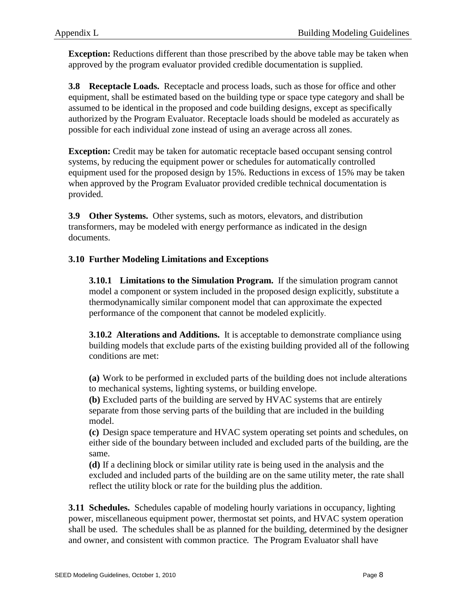**Exception:** Reductions different than those prescribed by the above table may be taken when approved by the program evaluator provided credible documentation is supplied.

**3.8 Receptacle Loads.** Receptacle and process loads, such as those for office and other equipment, shall be estimated based on the building type or space type category and shall be assumed to be identical in the proposed and code building designs, except as specifically authorized by the Program Evaluator. Receptacle loads should be modeled as accurately as possible for each individual zone instead of using an average across all zones.

**Exception:** Credit may be taken for automatic receptacle based occupant sensing control systems, by reducing the equipment power or schedules for automatically controlled equipment used for the proposed design by 15%. Reductions in excess of 15% may be taken when approved by the Program Evaluator provided credible technical documentation is provided.

**3.9 Other Systems.** Other systems, such as motors, elevators, and distribution transformers, may be modeled with energy performance as indicated in the design documents.

# **3.10 Further Modeling Limitations and Exceptions**

**3.10.1 Limitations to the Simulation Program.** If the simulation program cannot model a component or system included in the proposed design explicitly, substitute a thermodynamically similar component model that can approximate the expected performance of the component that cannot be modeled explicitly.

**3.10.2 Alterations and Additions.** It is acceptable to demonstrate compliance using building models that exclude parts of the existing building provided all of the following conditions are met:

**(a)** Work to be performed in excluded parts of the building does not include alterations to mechanical systems, lighting systems, or building envelope.

**(b)** Excluded parts of the building are served by HVAC systems that are entirely separate from those serving parts of the building that are included in the building model.

**(c)** Design space temperature and HVAC system operating set points and schedules, on either side of the boundary between included and excluded parts of the building, are the same.

**(d)** If a declining block or similar utility rate is being used in the analysis and the excluded and included parts of the building are on the same utility meter, the rate shall reflect the utility block or rate for the building plus the addition.

**3.11 Schedules.** Schedules capable of modeling hourly variations in occupancy, lighting power, miscellaneous equipment power, thermostat set points, and HVAC system operation shall be used. The schedules shall be as planned for the building, determined by the designer and owner, and consistent with common practice*.* The Program Evaluator shall have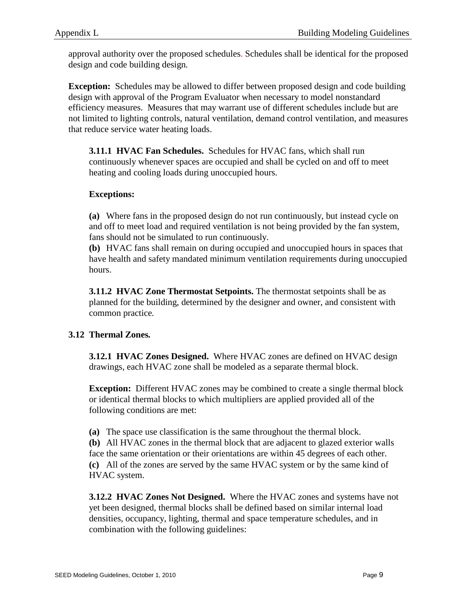approval authority over the proposed schedules. Schedules shall be identical for the proposed design and code building design*.* 

**Exception:** Schedules may be allowed to differ between proposed design and code building design with approval of the Program Evaluator when necessary to model nonstandard efficiency measures. Measures that may warrant use of different schedules include but are not limited to lighting controls, natural ventilation, demand control ventilation, and measures that reduce service water heating loads.

**3.11.1 HVAC Fan Schedules.** Schedules for HVAC fans, which shall run continuously whenever spaces are occupied and shall be cycled on and off to meet heating and cooling loads during unoccupied hours.

## **Exceptions:**

**(a)** Where fans in the proposed design do not run continuously, but instead cycle on and off to meet load and required ventilation is not being provided by the fan system, fans should not be simulated to run continuously.

**(b)** HVAC fans shall remain on during occupied and unoccupied hours in spaces that have health and safety mandated minimum ventilation requirements during unoccupied hours.

**3.11.2 HVAC Zone Thermostat Setpoints.** The thermostat setpoints shall be as planned for the building, determined by the designer and owner, and consistent with common practice*.*

# **3.12 Thermal Zones***.*

**3.12.1 HVAC Zones Designed.** Where HVAC zones are defined on HVAC design drawings, each HVAC zone shall be modeled as a separate thermal block.

**Exception:** Different HVAC zones may be combined to create a single thermal block or identical thermal blocks to which multipliers are applied provided all of the following conditions are met:

**(a)** The space use classification is the same throughout the thermal block.

**(b)** All HVAC zones in the thermal block that are adjacent to glazed exterior walls face the same orientation or their orientations are within 45 degrees of each other. **(c)** All of the zones are served by the same HVAC system or by the same kind of HVAC system.

**3.12.2 HVAC Zones Not Designed.** Where the HVAC zones and systems have not yet been designed, thermal blocks shall be defined based on similar internal load densities, occupancy, lighting, thermal and space temperature schedules, and in combination with the following guidelines: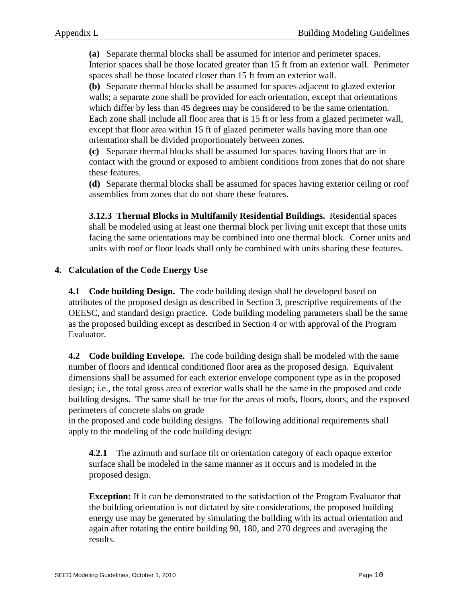**(a)** Separate thermal blocks shall be assumed for interior and perimeter spaces. Interior spaces shall be those located greater than 15 ft from an exterior wall. Perimeter spaces shall be those located closer than 15 ft from an exterior wall.

**(b)** Separate thermal blocks shall be assumed for spaces adjacent to glazed exterior walls; a separate zone shall be provided for each orientation, except that orientations which differ by less than 45 degrees may be considered to be the same orientation. Each zone shall include all floor area that is 15 ft or less from a glazed perimeter wall, except that floor area within 15 ft of glazed perimeter walls having more than one orientation shall be divided proportionately between zones.

**(c)** Separate thermal blocks shall be assumed for spaces having floors that are in contact with the ground or exposed to ambient conditions from zones that do not share these features.

**(d)** Separate thermal blocks shall be assumed for spaces having exterior ceiling or roof assemblies from zones that do not share these features.

**3.12.3 Thermal Blocks in Multifamily Residential Buildings.** Residential spaces shall be modeled using at least one thermal block per living unit except that those units facing the same orientations may be combined into one thermal block. Corner units and units with roof or floor loads shall only be combined with units sharing these features.

# **4. Calculation of the Code Energy Use**

**4.1 Code building Design.** The code building design shall be developed based on attributes of the proposed design as described in Section 3, prescriptive requirements of the OEESC, and standard design practice. Code building modeling parameters shall be the same as the proposed building except as described in Section 4 or with approval of the Program Evaluator.

**4.2 Code building Envelope.** The code building design shall be modeled with the same number of floors and identical conditioned floor area as the proposed design. Equivalent dimensions shall be assumed for each exterior envelope component type as in the proposed design; i.e., the total gross area of exterior walls shall be the same in the proposed and code building designs*.* The same shall be true for the areas of roofs, floors, doors, and the exposed perimeters of concrete slabs on grade

in the proposed and code building designs*.* The following additional requirements shall apply to the modeling of the code building design:

**4.2.1** The azimuth and surface tilt or orientation category of each opaque exterior surface shall be modeled in the same manner as it occurs and is modeled in the proposed design*.*

**Exception:** If it can be demonstrated to the satisfaction of the Program Evaluator that the building orientation is not dictated by site considerations, the proposed building energy use may be generated by simulating the building with its actual orientation and again after rotating the entire building 90, 180, and 270 degrees and averaging the results.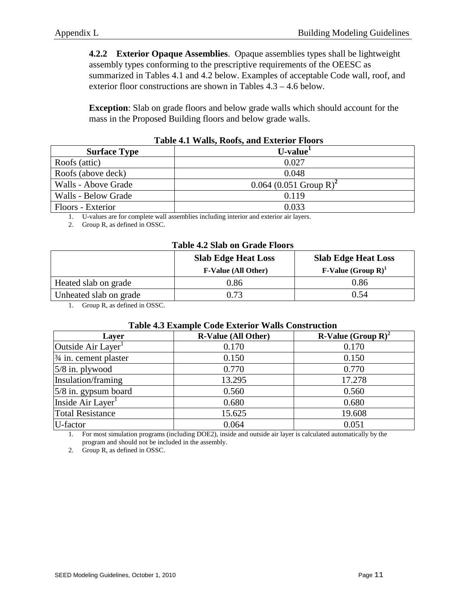**4.2.2 Exterior Opaque Assemblies**. Opaque assemblies types shall be lightweight assembly types conforming to the prescriptive requirements of the OEESC as summarized in Tables 4.1 and 4.2 below. Examples of acceptable Code wall, roof, and exterior floor constructions are shown in Tables 4.3 – 4.6 below.

**Exception**: Slab on grade floors and below grade walls which should account for the mass in the Proposed Building floors and below grade walls.

| THEN I'LL IT WHEN INCOLER WHEN EXTREMENT THEORY |                                      |  |  |
|-------------------------------------------------|--------------------------------------|--|--|
| <b>Surface Type</b>                             | U-value <sup>1</sup>                 |  |  |
| Roofs (attic)                                   | 0.027                                |  |  |
| Roofs (above deck)                              | 0.048                                |  |  |
| Walls - Above Grade                             | $0.064$ (0.051 Group R) <sup>2</sup> |  |  |
| Walls - Below Grade                             | 0.119                                |  |  |
| Floors - Exterior                               | 0.033                                |  |  |

1. U-values are for complete wall assemblies including interior and exterior air layers.

2. Group R, as defined in OSSC.

| Table 4.2 Slab on Grade Floors |                                                          |                              |  |  |
|--------------------------------|----------------------------------------------------------|------------------------------|--|--|
|                                | <b>Slab Edge Heat Loss</b><br><b>Slab Edge Heat Loss</b> |                              |  |  |
|                                | <b>F-Value (All Other)</b>                               | <b>F-Value</b> $(Group R)^1$ |  |  |
| Heated slab on grade           | 0.86                                                     | 0.86                         |  |  |
| Unheated slab on grade         | 0.73                                                     | 0.54                         |  |  |

# **Table 4.2 Slab on Grade Floors**

1. Group R, as defined in OSSC.

#### **Table 4.3 Example Code Exterior Walls Construction**

| Layer                            | <b>R-Value (All Other)</b> | <b>R-Value</b> (Group $\mathbb{R}^2$ ) <sup>2</sup> |
|----------------------------------|----------------------------|-----------------------------------------------------|
| Outside Air Layer                | 0.170                      | 0.170                                               |
| $\frac{3}{4}$ in. cement plaster | 0.150                      | 0.150                                               |
| $5/8$ in. plywood                | 0.770                      | 0.770                                               |
| Insulation/framing               | 13.295                     | 17.278                                              |
| 5/8 in. gypsum board             | 0.560                      | 0.560                                               |
| Inside Air Layer <sup>1</sup>    | 0.680                      | 0.680                                               |
| <b>Total Resistance</b>          | 15.625                     | 19.608                                              |
| U-factor                         | 0.064                      | 0.051                                               |

1. For most simulation programs (including DOE2), inside and outside air layer is calculated automatically by the program and should not be included in the assembly.

2. Group R, as defined in OSSC.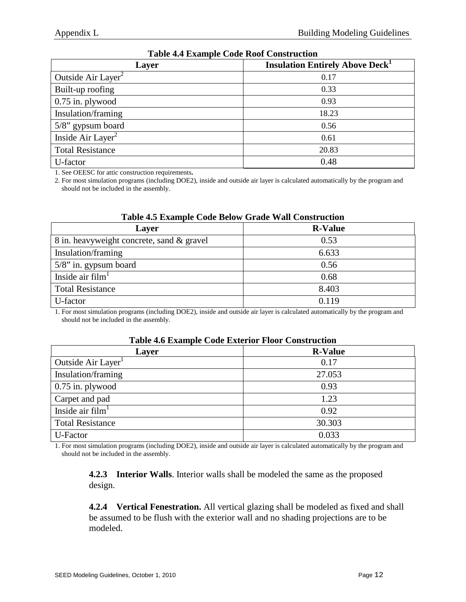| Layer                          | <b>Insulation Entirely Above Deck</b> <sup>1</sup> |
|--------------------------------|----------------------------------------------------|
| Outside Air Layer <sup>2</sup> | 0.17                                               |
| Built-up roofing               | 0.33                                               |
| $0.75$ in. plywood             | 0.93                                               |
| Insulation/framing             | 18.23                                              |
| 5/8" gypsum board              | 0.56                                               |
| Inside Air Layer <sup>2</sup>  | 0.61                                               |
| <b>Total Resistance</b>        | 20.83                                              |
| U-factor                       | 0.48                                               |

## **Table 4.4 Example Code Roof Construction**

1. See OEESC for attic construction requirements**.**

2. For most simulation programs (including DOE2), inside and outside air layer is calculated automatically by the program and should not be included in the assembly.

| Layer                                     | <b>R-Value</b> |
|-------------------------------------------|----------------|
| 8 in. heavyweight concrete, sand & gravel | 0.53           |
| Insulation/framing                        | 6.633          |
| $5/8$ " in. gypsum board                  | 0.56           |
| Inside air $film1$                        | 0.68           |
| <b>Total Resistance</b>                   | 8.403          |
| U-factor                                  | 0.119          |

#### **Table 4.5 Example Code Below Grade Wall Construction**

1. For most simulation programs (including DOE2), inside and outside air layer is calculated automatically by the program and should not be included in the assembly.

#### **Table 4.6 Example Code Exterior Floor Construction**

| Layer                   | <b>R-Value</b> |
|-------------------------|----------------|
| Outside Air Layer       | 0.17           |
| Insulation/framing      | 27.053         |
| $0.75$ in. plywood      | 0.93           |
| Carpet and pad          | 1.23           |
| Inside air $film1$      | 0.92           |
| <b>Total Resistance</b> | 30.303         |
| U-Factor                | 0.033          |

1. For most simulation programs (including DOE2), inside and outside air layer is calculated automatically by the program and should not be included in the assembly.

**4.2.3 Interior Walls**. Interior walls shall be modeled the same as the proposed design.

**4.2.4 Vertical Fenestration.** All vertical glazing shall be modeled as fixed and shall be assumed to be flush with the exterior wall and no shading projections are to be modeled.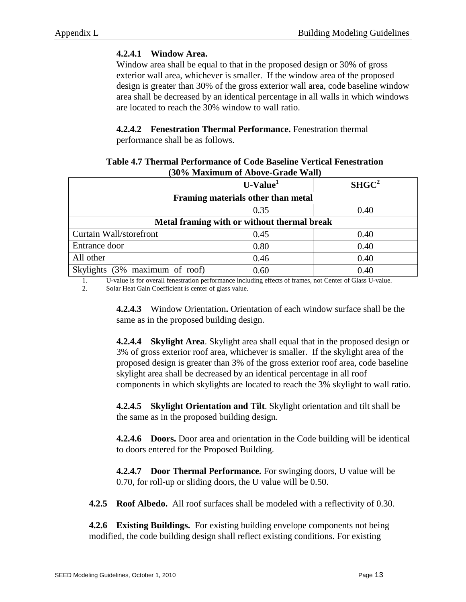# **4.2.4.1 Window Area.**

Window area shall be equal to that in the proposed design or 30% of gross exterior wall area, whichever is smaller. If the window area of the proposed design is greater than 30% of the gross exterior wall area, code baseline window area shall be decreased by an identical percentage in all walls in which windows are located to reach the 30% window to wall ratio.

# **4.2.4.2 Fenestration Thermal Performance.** Fenestration thermal

performance shall be as follows.

| (30% Maximum of Above-Grade Wall)           |            |                   |  |  |
|---------------------------------------------|------------|-------------------|--|--|
|                                             | $U-Value1$ | SHGC <sup>2</sup> |  |  |
| Framing materials other than metal          |            |                   |  |  |
|                                             | 0.35       | 0.40              |  |  |
| Metal framing with or without thermal break |            |                   |  |  |
| Curtain Wall/storefront                     | 0.45       | 0.40              |  |  |
| Entrance door                               | 0.80       | 0.40              |  |  |
| All other                                   | 0.46       | 0.40              |  |  |
| Skylights (3% maximum of roof)              | 0.60       | 0.40              |  |  |
|                                             |            |                   |  |  |

# **Table 4.7 Thermal Performance of Code Baseline Vertical Fenestration (30% Maximum of Above-Grade Wall)**

1. U-value is for overall fenestration performance including effects of frames, not Center of Glass U-value.

2. Solar Heat Gain Coefficient is center of glass value.

**4.2.4.3** Window Orientation**.** Orientation of each window surface shall be the same as in the proposed building design.

**4.2.4.4 Skylight Area**. Skylight area shall equal that in the proposed design or 3% of gross exterior roof area, whichever is smaller. If the skylight area of the proposed design is greater than 3% of the gross exterior roof area, code baseline skylight area shall be decreased by an identical percentage in all roof components in which skylights are located to reach the 3% skylight to wall ratio.

**4.2.4.5 Skylight Orientation and Tilt**. Skylight orientation and tilt shall be the same as in the proposed building design.

**4.2.4.6 Doors.** Door area and orientation in the Code building will be identical to doors entered for the Proposed Building.

**4.2.4.7 Door Thermal Performance.** For swinging doors, U value will be 0.70, for roll-up or sliding doors, the U value will be 0.50.

**4.2.5 Roof Albedo.** All roof surfaces shall be modeled with a reflectivity of 0.30.

**4.2.6 Existing Buildings.** For existing building envelope components not being modified, the code building design shall reflect existing conditions. For existing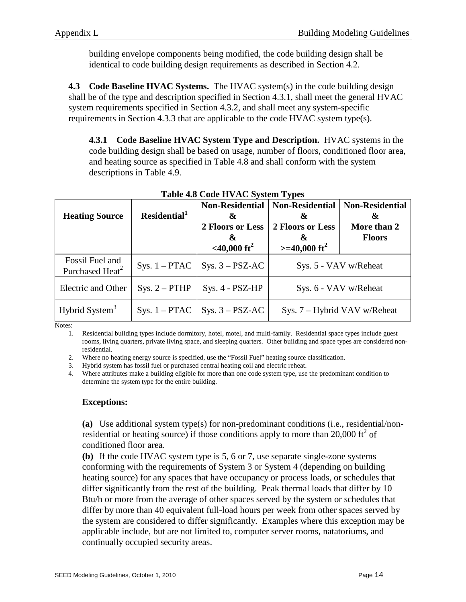building envelope components being modified, the code building design shall be identical to code building design requirements as described in Section 4.2.

**4.3 Code Baseline HVAC Systems.** The HVAC system(s) in the code building design shall be of the type and description specified in Section 4.3.1, shall meet the general HVAC system requirements specified in Section 4.3.2, and shall meet any system-specific requirements in Section 4.3.3 that are applicable to the code HVAC system type(s).

**4.3.1 Code Baseline HVAC System Type and Description.** HVAC systems in the code building design shall be based on usage, number of floors, conditioned floor area, and heating source as specified in Table 4.8 and shall conform with the system descriptions in Table 4.9.

| <b>Heating Source</b>                          | Residential <sup>1</sup> | <b>Non-Residential</b><br>&<br>2 Floors or Less<br>&<br>$<$ 40,000 ft <sup>2</sup> | <b>Non-Residential</b><br>&<br>2 Floors or Less<br>X.<br>$>=$ 40,000 ft <sup>2</sup> | <b>Non-Residential</b><br>&<br>More than 2<br><b>Floors</b> |
|------------------------------------------------|--------------------------|------------------------------------------------------------------------------------|--------------------------------------------------------------------------------------|-------------------------------------------------------------|
| Fossil Fuel and<br>Purchased Heat <sup>2</sup> | $Sys. 1 - PTAC$          | $Sys. 3 - PSZ-AC$                                                                  | Sys. 5 - VAV w/Reheat                                                                |                                                             |
| Electric and Other                             | $Sys. 2 - PTHP$          | Sys. 4 - PSZ-HP                                                                    | Sys. 6 - VAV w/Reheat                                                                |                                                             |
| Hybrid System <sup>3</sup>                     | $Sys. 1 - PTAC$          | $Sys. 3 - PSZ-AC$                                                                  | Sys. 7 – Hybrid VAV w/Reheat                                                         |                                                             |

# **Table 4.8 Code HVAC System Types**

Notes:

1. Residential building types include dormitory, hotel, motel, and multi-family. Residential space types include guest rooms, living quarters, private living space, and sleeping quarters. Other building and space types are considered nonresidential.

2. Where no heating energy source is specified, use the "Fossil Fuel" heating source classification.

3. Hybrid system has fossil fuel or purchased central heating coil and electric reheat.

4. Where attributes make a building eligible for more than one code system type, use the predominant condition to determine the system type for the entire building.

# **Exceptions:**

**(a)** Use additional system type(s) for non-predominant conditions (i.e., residential/nonresidential or heating source) if those conditions apply to more than 20,000  $\text{ft}^2$  of conditioned floor area.

**(b)** If the code HVAC system type is 5, 6 or 7, use separate single-zone systems conforming with the requirements of System 3 or System 4 (depending on building heating source) for any spaces that have occupancy or process loads, or schedules that differ significantly from the rest of the building. Peak thermal loads that differ by 10 Btu/h or more from the average of other spaces served by the system or schedules that differ by more than 40 equivalent full-load hours per week from other spaces served by the system are considered to differ significantly. Examples where this exception may be applicable include, but are not limited to, computer server rooms, natatoriums, and continually occupied security areas.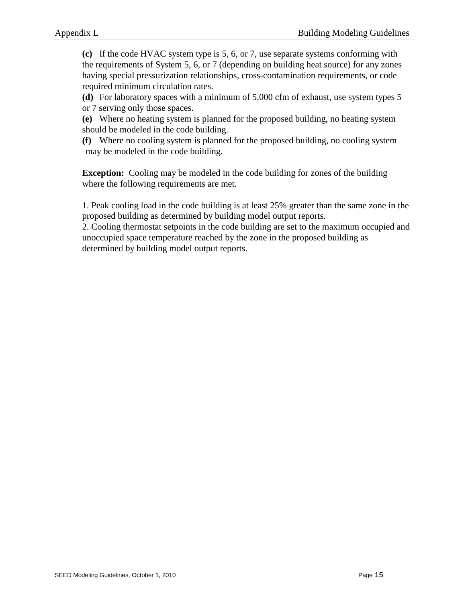**(c)** If the code HVAC system type is 5, 6, or 7, use separate systems conforming with the requirements of System 5, 6, or 7 (depending on building heat source) for any zones having special pressurization relationships, cross-contamination requirements, or code required minimum circulation rates.

**(d)** For laboratory spaces with a minimum of 5,000 cfm of exhaust, use system types 5 or 7 serving only those spaces.

**(e)** Where no heating system is planned for the proposed building, no heating system should be modeled in the code building.

**(f)** Where no cooling system is planned for the proposed building, no cooling system may be modeled in the code building.

**Exception:** Cooling may be modeled in the code building for zones of the building where the following requirements are met.

1. Peak cooling load in the code building is at least 25% greater than the same zone in the proposed building as determined by building model output reports.

2. Cooling thermostat setpoints in the code building are set to the maximum occupied and unoccupied space temperature reached by the zone in the proposed building as determined by building model output reports.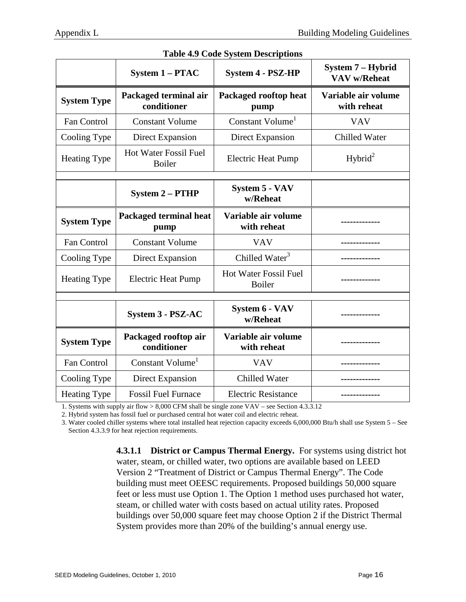| $\frac{1}{2}$ $\frac{1}{2}$ $\frac{1}{2}$ $\frac{1}{2}$ $\frac{1}{2}$ $\frac{1}{2}$ $\frac{1}{2}$ $\frac{1}{2}$ $\frac{1}{2}$ $\frac{1}{2}$ $\frac{1}{2}$ $\frac{1}{2}$ $\frac{1}{2}$ $\frac{1}{2}$ $\frac{1}{2}$ $\frac{1}{2}$ $\frac{1}{2}$ $\frac{1}{2}$ $\frac{1}{2}$ $\frac{1}{2}$ $\frac{1}{2}$ $\frac{1}{2}$ |                                        |                                        |                                          |  |
|---------------------------------------------------------------------------------------------------------------------------------------------------------------------------------------------------------------------------------------------------------------------------------------------------------------------|----------------------------------------|----------------------------------------|------------------------------------------|--|
|                                                                                                                                                                                                                                                                                                                     | <b>System 1 - PTAC</b>                 | <b>System 4 - PSZ-HP</b>               | System 7 - Hybrid<br><b>VAV w/Reheat</b> |  |
| <b>System Type</b>                                                                                                                                                                                                                                                                                                  | Packaged terminal air<br>conditioner   | Packaged rooftop heat<br>pump          | Variable air volume<br>with reheat       |  |
| <b>Fan Control</b>                                                                                                                                                                                                                                                                                                  | <b>Constant Volume</b>                 | Constant Volume <sup>1</sup>           | <b>VAV</b>                               |  |
| Cooling Type                                                                                                                                                                                                                                                                                                        | Direct Expansion                       | Direct Expansion                       | <b>Chilled Water</b>                     |  |
| <b>Heating Type</b>                                                                                                                                                                                                                                                                                                 | <b>Hot Water Fossil Fuel</b><br>Boiler | <b>Electric Heat Pump</b>              | Hybrid <sup>2</sup>                      |  |
|                                                                                                                                                                                                                                                                                                                     | <b>System 2 - PTHP</b>                 | System 5 - VAV<br>w/Reheat             |                                          |  |
| <b>System Type</b>                                                                                                                                                                                                                                                                                                  | Packaged terminal heat<br>pump         | Variable air volume<br>with reheat     |                                          |  |
| Fan Control                                                                                                                                                                                                                                                                                                         | <b>Constant Volume</b>                 | <b>VAV</b>                             |                                          |  |
| Cooling Type                                                                                                                                                                                                                                                                                                        | <b>Direct Expansion</b>                | Chilled Water <sup>3</sup>             |                                          |  |
| <b>Heating Type</b>                                                                                                                                                                                                                                                                                                 | <b>Electric Heat Pump</b>              | Hot Water Fossil Fuel<br><b>Boiler</b> |                                          |  |
|                                                                                                                                                                                                                                                                                                                     |                                        |                                        |                                          |  |
|                                                                                                                                                                                                                                                                                                                     | <b>System 3 - PSZ-AC</b>               | <b>System 6 - VAV</b><br>w/Reheat      |                                          |  |
| <b>System Type</b>                                                                                                                                                                                                                                                                                                  | Packaged rooftop air<br>conditioner    | Variable air volume<br>with reheat     |                                          |  |
| Fan Control                                                                                                                                                                                                                                                                                                         | Constant Volume <sup>1</sup>           | <b>VAV</b>                             |                                          |  |
| Cooling Type                                                                                                                                                                                                                                                                                                        | <b>Direct Expansion</b>                | <b>Chilled Water</b>                   |                                          |  |
| <b>Heating Type</b>                                                                                                                                                                                                                                                                                                 | <b>Fossil Fuel Furnace</b>             | <b>Electric Resistance</b>             |                                          |  |

#### **Table 4.9 Code System Descriptions**

1. Systems with supply air flow > 8,000 CFM shall be single zone VAV – see Section 4.3.3.12

2. Hybrid system has fossil fuel or purchased central hot water coil and electric reheat.

3. Water cooled chiller systems where total installed heat rejection capacity exceeds 6,000,000 Btu/h shall use System 5 – See Section 4.3.3.9 for heat rejection requirements.

> **4.3.1.1 District or Campus Thermal Energy.** For systems using district hot water, steam, or chilled water, two options are available based on LEED Version 2 "Treatment of District or Campus Thermal Energy". The Code building must meet OEESC requirements. Proposed buildings 50,000 square feet or less must use Option 1. The Option 1 method uses purchased hot water, steam, or chilled water with costs based on actual utility rates. Proposed buildings over 50,000 square feet may choose Option 2 if the District Thermal System provides more than 20% of the building's annual energy use.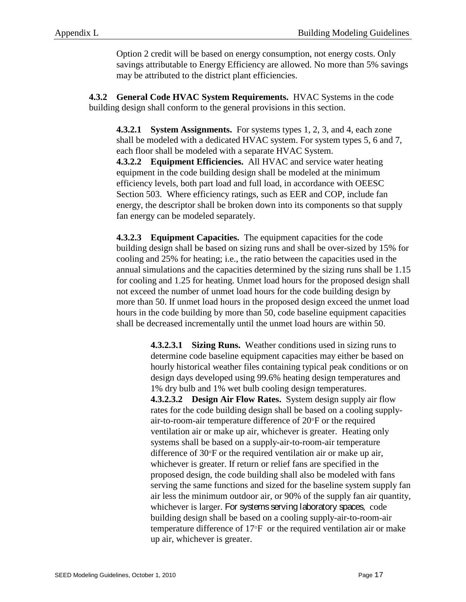Option 2 credit will be based on energy consumption, not energy costs. Only savings attributable to Energy Efficiency are allowed. No more than 5% savings may be attributed to the district plant efficiencies.

**4.3.2 General Code HVAC System Requirements.** HVAC Systems in the code building design shall conform to the general provisions in this section.

**4.3.2.1 System Assignments.** For systems types 1, 2, 3, and 4, each zone shall be modeled with a dedicated HVAC system. For system types 5, 6 and 7, each floor shall be modeled with a separate HVAC System.

**4.3.2.2 Equipment Efficiencies.** All HVAC and service water heating equipment in the code building design shall be modeled at the minimum efficiency levels, both part load and full load, in accordance with OEESC Section 503. Where efficiency ratings, such as EER and COP, include fan energy, the descriptor shall be broken down into its components so that supply fan energy can be modeled separately.

**4.3.2.3 Equipment Capacities.** The equipment capacities for the code building design shall be based on sizing runs and shall be over-sized by 15% for cooling and 25% for heating; i.e., the ratio between the capacities used in the annual simulations and the capacities determined by the sizing runs shall be 1.15 for cooling and 1.25 for heating. Unmet load hours for the proposed design shall not exceed the number of unmet load hours for the code building design by more than 50. If unmet load hours in the proposed design exceed the unmet load hours in the code building by more than 50, code baseline equipment capacities shall be decreased incrementally until the unmet load hours are within 50.

> **4.3.2.3.1 Sizing Runs.** Weather conditions used in sizing runs to determine code baseline equipment capacities may either be based on hourly historical weather files containing typical peak conditions or on design days developed using 99.6% heating design temperatures and 1% dry bulb and 1% wet bulb cooling design temperatures. **4.3.2.3.2 Design Air Flow Rates.** System design supply air flow rates for the code building design shall be based on a cooling supplyair-to-room-air temperature difference of 20°F or the required ventilation air or make up air, whichever is greater. Heating only systems shall be based on a supply-air-to-room-air temperature difference of 30°F or the required ventilation air or make up air, whichever is greater. If return or relief fans are specified in the proposed design, the code building shall also be modeled with fans serving the same functions and sized for the baseline system supply fan air less the minimum outdoor air, or 90% of the supply fan air quantity, whichever is larger. For systems serving laboratory spaces, code building design shall be based on a cooling supply-air-to-room-air temperature difference of 17°F or the required ventilation air or make up air, whichever is greater.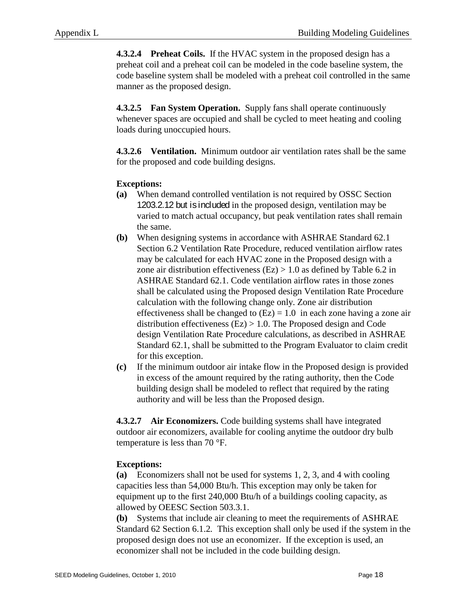**4.3.2.4 Preheat Coils.** If the HVAC system in the proposed design has a preheat coil and a preheat coil can be modeled in the code baseline system, the code baseline system shall be modeled with a preheat coil controlled in the same manner as the proposed design.

**4.3.2.5 Fan System Operation.** Supply fans shall operate continuously whenever spaces are occupied and shall be cycled to meet heating and cooling loads during unoccupied hours.

**4.3.2.6 Ventilation.** Minimum outdoor air ventilation rates shall be the same for the proposed and code building designs.

# **Exceptions:**

- **(a)** When demand controlled ventilation is not required by OSSC Section 1203.2.12 but is included in the proposed design*,* ventilation may be varied to match actual occupancy, but peak ventilation rates shall remain the same.
- **(b)** When designing systems in accordance with ASHRAE Standard 62.1 Section 6.2 Ventilation Rate Procedure, reduced ventilation airflow rates may be calculated for each HVAC zone in the Proposed design with a zone air distribution effectiveness  $(Ez) > 1.0$  as defined by Table 6.2 in ASHRAE Standard 62.1. Code ventilation airflow rates in those zones shall be calculated using the Proposed design Ventilation Rate Procedure calculation with the following change only. Zone air distribution effectiveness shall be changed to  $(Ez) = 1.0$  in each zone having a zone air distribution effectiveness (Ez) > 1.0. The Proposed design and Code design Ventilation Rate Procedure calculations, as described in ASHRAE Standard 62.1, shall be submitted to the Program Evaluator to claim credit for this exception.
- **(c)** If the minimum outdoor air intake flow in the Proposed design is provided in excess of the amount required by the rating authority, then the Code building design shall be modeled to reflect that required by the rating authority and will be less than the Proposed design.

**4.3.2.7 Air Economizers.** Code building systems shall have integrated outdoor air economizers, available for cooling anytime the outdoor dry bulb temperature is less than 70 °F.

#### **Exceptions:**

**(a)** Economizers shall not be used for systems 1, 2, 3, and 4 with cooling capacities less than 54,000 Btu/h. This exception may only be taken for equipment up to the first 240,000 Btu/h of a buildings cooling capacity, as allowed by OEESC Section 503.3.1.

**(b)** Systems that include air cleaning to meet the requirements of ASHRAE Standard 62 Section 6.1.2*.* This exception shall only be used if the system in the proposed design does not use an economizer. If the exception is used, an economizer shall not be included in the code building design.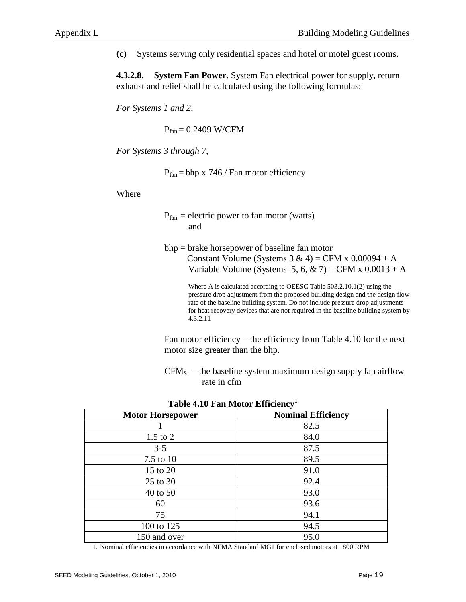**(c)** Systems serving only residential spaces and hotel or motel guest rooms.

**4.3.2.8. System Fan Power.** System Fan electrical power for supply, return exhaust and relief shall be calculated using the following formulas:

*For Systems 1 and 2*,

 $P_{fan} = 0.2409$  W/CFM

*For Systems 3 through 7*,

 $P_{fan} = bhp \times 746 / Fan \text{ motor efficiency}$ 

Where

- $P<sub>fan</sub> = electric power to fan motor (watts)$ and
- bhp = brake horsepower of baseline fan motor Constant Volume (Systems  $3 \& 4$ ) = CFM x 0.00094 + A Variable Volume (Systems 5, 6,  $\&$  7) = CFM x 0.0013 + A

Where A is calculated according to OEESC Table 503.2.10.1(2) using the pressure drop adjustment from the proposed building design and the design flow rate of the baseline building system. Do not include pressure drop adjustments for heat recovery devices that are not required in the baseline building system by 4.3.2.11

Fan motor efficiency  $=$  the efficiency from Table 4.10 for the next motor size greater than the bhp.

 $CFM<sub>S</sub>$  = the baseline system maximum design supply fan airflow rate in cfm

| <b>Motor Horsepower</b> | <b>Nominal Efficiency</b> |
|-------------------------|---------------------------|
|                         | 82.5                      |
| $1.5$ to $2$            | 84.0                      |
| $3 - 5$                 | 87.5                      |
| $7.5$ to $10$           | 89.5                      |
| 15 to 20                | 91.0                      |
| 25 to 30                | 92.4                      |
| 40 to 50                | 93.0                      |
| 60                      | 93.6                      |
| 75                      | 94.1                      |
| 100 to 125              | 94.5                      |
| 150 and over            | 95.0                      |
|                         |                           |

**Table 4.10 Fan Motor Efficiency1**

1. Nominal efficiencies in accordance with NEMA Standard MG1 for enclosed motors at 1800 RPM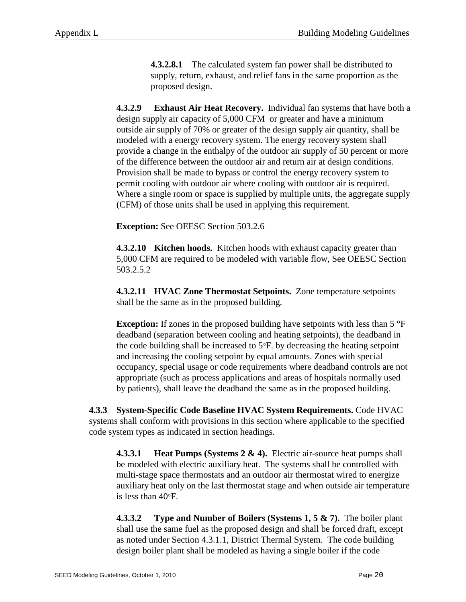**4.3.2.8.1** The calculated system fan power shall be distributed to supply, return, exhaust, and relief fans in the same proportion as the proposed design.

**4.3.2.9 Exhaust Air Heat Recovery.** Individual fan systems that have both a design supply air capacity of 5,000 CFM or greater and have a minimum outside air supply of 70% or greater of the design supply air quantity, shall be modeled with a energy recovery system. The energy recovery system shall provide a change in the enthalpy of the outdoor air supply of 50 percent or more of the difference between the outdoor air and return air at design conditions. Provision shall be made to bypass or control the energy recovery system to permit cooling with outdoor air where cooling with outdoor air is required. Where a single room or space is supplied by multiple units, the aggregate supply (CFM) of those units shall be used in applying this requirement.

**Exception:** See OEESC Section 503.2.6

**4.3.2.10 Kitchen hoods.** Kitchen hoods with exhaust capacity greater than 5,000 CFM are required to be modeled with variable flow, See OEESC Section 503.2.5.2

**4.3.2.11 HVAC Zone Thermostat Setpoints.** Zone temperature setpoints shall be the same as in the proposed building*.*

**Exception:** If zones in the proposed building have setpoints with less than 5 °F deadband (separation between cooling and heating setpoints), the deadband in the code building shall be increased to 5°F. by decreasing the heating setpoint and increasing the cooling setpoint by equal amounts. Zones with special occupancy, special usage or code requirements where deadband controls are not appropriate (such as process applications and areas of hospitals normally used by patients), shall leave the deadband the same as in the proposed building.

**4.3.3 System-Specific Code Baseline HVAC System Requirements.** Code HVAC systems shall conform with provisions in this section where applicable to the specified code system types as indicated in section headings.

**4.3.3.1 Heat Pumps (Systems 2 & 4).** Electric air-source heat pumps shall be modeled with electric auxiliary heat. The systems shall be controlled with multi-stage space thermostats and an outdoor air thermostat wired to energize auxiliary heat only on the last thermostat stage and when outside air temperature is less than 40°F.

**4.3.3.2 Type and Number of Boilers (Systems 1, 5 & 7).** The boiler plant shall use the same fuel as the proposed design and shall be forced draft, except as noted under Section 4.3.1.1, District Thermal System. The code building design boiler plant shall be modeled as having a single boiler if the code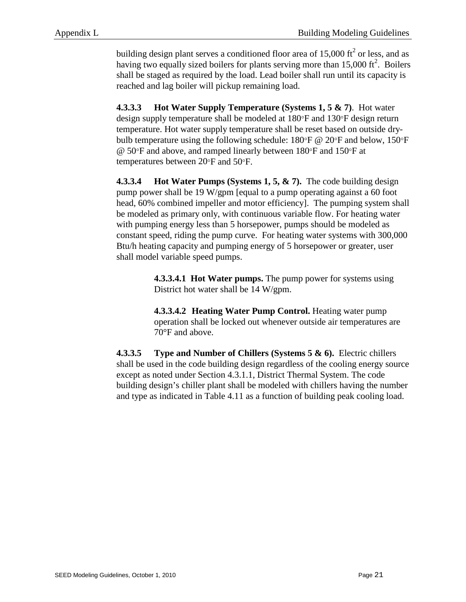building design plant serves a conditioned floor area of  $15,000$  ft<sup>2</sup> or less, and as having two equally sized boilers for plants serving more than  $15,000$  ft<sup>2</sup>. Boilers shall be staged as required by the load. Lead boiler shall run until its capacity is reached and lag boiler will pickup remaining load.

**4.3.3.3 Hot Water Supply Temperature (Systems 1, 5 & 7)**. Hot water design supply temperature shall be modeled at 180°F and 130°F design return temperature. Hot water supply temperature shall be reset based on outside drybulb temperature using the following schedule:  $180^{\circ}$ F @ 20°F and below,  $150^{\circ}$ F @ 50°F and above, and ramped linearly between 180°F and 150°F at temperatures between 20°F and 50°F.

**4.3.3.4 Hot Water Pumps (Systems 1, 5, & 7).** The code building design pump power shall be 19 W/gpm [equal to a pump operating against a 60 foot head, 60% combined impeller and motor efficiency]. The pumping system shall be modeled as primary only, with continuous variable flow. For heating water with pumping energy less than 5 horsepower, pumps should be modeled as constant speed, riding the pump curve. For heating water systems with 300,000 Btu/h heating capacity and pumping energy of 5 horsepower or greater, user shall model variable speed pumps.

> **4.3.3.4.1 Hot Water pumps.** The pump power for systems using District hot water shall be 14 W/gpm.

**4.3.3.4.2 Heating Water Pump Control.** Heating water pump operation shall be locked out whenever outside air temperatures are 70°F and above.

**4.3.3.5 Type and Number of Chillers (Systems 5 & 6).** Electric chillers shall be used in the code building design regardless of the cooling energy source except as noted under Section 4.3.1.1, District Thermal System. The code building design's chiller plant shall be modeled with chillers having the number and type as indicated in Table 4.11 as a function of building peak cooling load.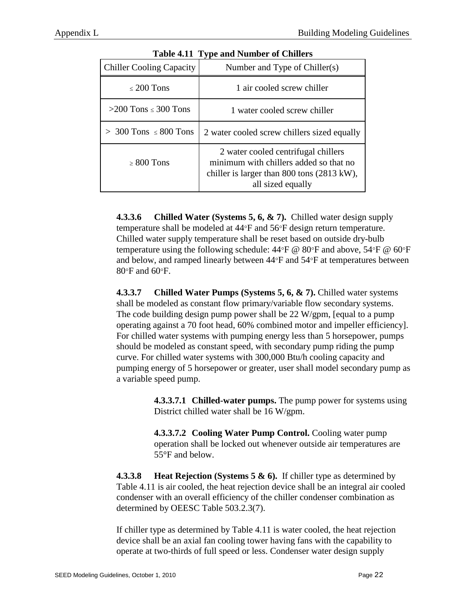| Table 4.11 Type and Number of Chiners |                                                                                                                                                  |
|---------------------------------------|--------------------------------------------------------------------------------------------------------------------------------------------------|
| <b>Chiller Cooling Capacity</b>       | Number and Type of Chiller(s)                                                                                                                    |
| $\leq 200$ Tons                       | 1 air cooled screw chiller                                                                                                                       |
| $>200$ Tons $\leq 300$ Tons           | 1 water cooled screw chiller                                                                                                                     |
| $>$ 300 Tons $\leq$ 800 Tons          | 2 water cooled screw chillers sized equally                                                                                                      |
| $\geq 800$ Tons                       | 2 water cooled centrifugal chillers<br>minimum with chillers added so that no<br>chiller is larger than 800 tons (2813 kW),<br>all sized equally |

**Table 4.11 Type and Number of Chillers**

**4.3.3.6 Chilled Water (Systems 5, 6, & 7).** Chilled water design supply temperature shall be modeled at 44°F and 56°F design return temperature. Chilled water supply temperature shall be reset based on outside dry-bulb temperature using the following schedule:  $44^{\circ}F \otimes 80^{\circ}F$  and above,  $54^{\circ}F \otimes 60^{\circ}F$ and below, and ramped linearly between 44°F and 54°F at temperatures between 80°F and 60°F.

**4.3.3.7 Chilled Water Pumps (Systems 5, 6, & 7).** Chilled water systems shall be modeled as constant flow primary/variable flow secondary systems. The code building design pump power shall be 22 W/gpm, [equal to a pump operating against a 70 foot head, 60% combined motor and impeller efficiency]. For chilled water systems with pumping energy less than 5 horsepower, pumps should be modeled as constant speed, with secondary pump riding the pump curve. For chilled water systems with 300,000 Btu/h cooling capacity and pumping energy of 5 horsepower or greater, user shall model secondary pump as a variable speed pump.

> **4.3.3.7.1 Chilled-water pumps.** The pump power for systems using District chilled water shall be 16 W/gpm.

**4.3.3.7.2 Cooling Water Pump Control.** Cooling water pump operation shall be locked out whenever outside air temperatures are 55°F and below.

**4.3.3.8 Heat Rejection (Systems 5 & 6).** If chiller type as determined by Table 4.11 is air cooled, the heat rejection device shall be an integral air cooled condenser with an overall efficiency of the chiller condenser combination as determined by OEESC Table 503.2.3(7).

If chiller type as determined by Table 4.11 is water cooled, the heat rejection device shall be an axial fan cooling tower having fans with the capability to operate at two-thirds of full speed or less. Condenser water design supply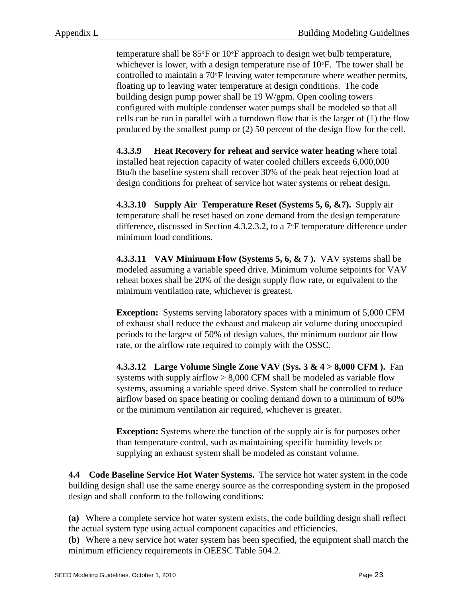temperature shall be 85°F or 10°F approach to design wet bulb temperature, whichever is lower, with a design temperature rise of 10°F. The tower shall be controlled to maintain a 70°F leaving water temperature where weather permits, floating up to leaving water temperature at design conditions. The code building design pump power shall be 19 W/gpm. Open cooling towers configured with multiple condenser water pumps shall be modeled so that all cells can be run in parallel with a turndown flow that is the larger of (1) the flow produced by the smallest pump or (2) 50 percent of the design flow for the cell.

**4.3.3.9 Heat Recovery for reheat and service water heating** where total installed heat rejection capacity of water cooled chillers exceeds 6,000,000 Btu/h the baseline system shall recover 30% of the peak heat rejection load at design conditions for preheat of service hot water systems or reheat design.

**4.3.3.10 Supply Air Temperature Reset (Systems 5, 6, &7).** Supply air temperature shall be reset based on zone demand from the design temperature difference, discussed in Section 4.3.2.3.2, to a 7°F temperature difference under minimum load conditions.

**4.3.3.11 VAV Minimum Flow (Systems 5, 6, & 7 ).** VAV systems shall be modeled assuming a variable speed drive. Minimum volume setpoints for VAV reheat boxes shall be 20% of the design supply flow rate, or equivalent to the minimum ventilation rate, whichever is greatest.

**Exception:** Systems serving laboratory spaces with a minimum of 5,000 CFM of exhaust shall reduce the exhaust and makeup air volume during unoccupied periods to the largest of 50% of design values, the minimum outdoor air flow rate, or the airflow rate required to comply with the OSSC.

**4.3.3.12 Large Volume Single Zone VAV (Sys. 3 & 4 > 8,000 CFM ).** Fan systems with supply airflow  $> 8,000$  CFM shall be modeled as variable flow systems, assuming a variable speed drive. System shall be controlled to reduce airflow based on space heating or cooling demand down to a minimum of 60% or the minimum ventilation air required, whichever is greater.

**Exception:** Systems where the function of the supply air is for purposes other than temperature control, such as maintaining specific humidity levels or supplying an exhaust system shall be modeled as constant volume.

**4.4 Code Baseline Service Hot Water Systems.** The service hot water system in the code building design shall use the same energy source as the corresponding system in the proposed design and shall conform to the following conditions:

**(a)** Where a complete service hot water system exists, the code building design shall reflect the actual system type using actual component capacities and efficiencies.

**(b)** Where a new service hot water system has been specified, the equipment shall match the minimum efficiency requirements in OEESC Table 504.2.